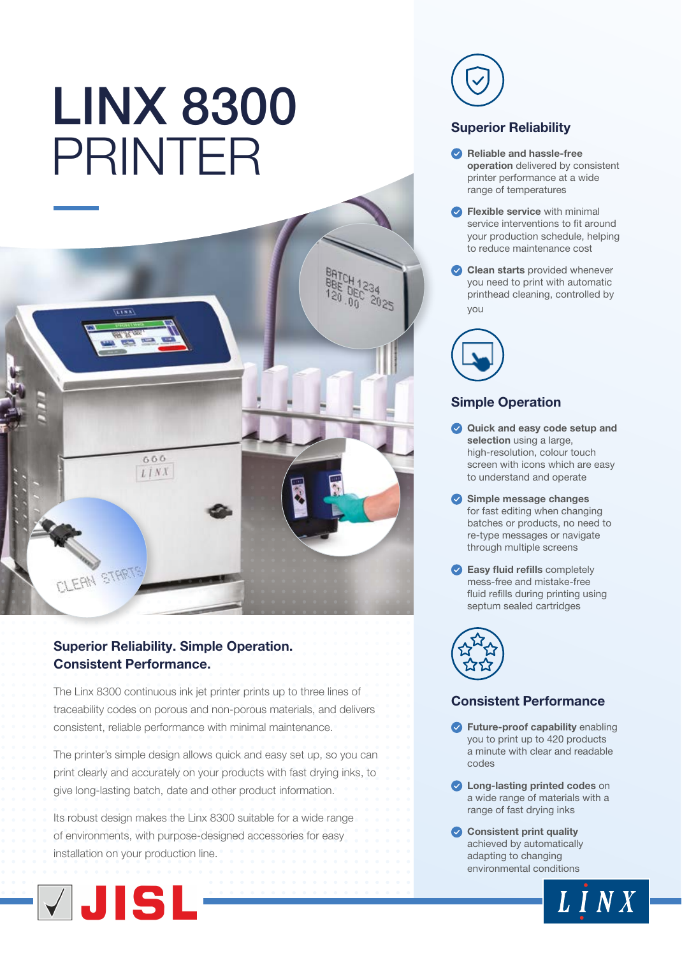# LINX 8300 PRINTER



# Superior Reliability. Simple Operation. Consistent Performance.

The Linx 8300 continuous ink jet printer prints up to three lines of traceability codes on porous and non-porous materials, and delivers consistent, reliable performance with minimal maintenance.

The printer's simple design allows quick and easy set up, so you can print clearly and accurately on your products with fast drying inks, to give long-lasting batch, date and other product information.

Its robust design makes the Linx 8300 suitable for a wide range of environments, with purpose-designed accessories for easy installation on your production line.





## Superior Reliability

- Reliable and hassle-free operation delivered by consistent printer performance at a wide range of temperatures
- **C** Flexible service with minimal service interventions to fit around your production schedule, helping to reduce maintenance cost
- Clean starts provided whenever you need to print with automatic printhead cleaning, controlled by you



# Simple Operation

- Quick and easy code setup and selection using a large, high-resolution, colour touch screen with icons which are easy to understand and operate
- Simple message changes for fast editing when changing batches or products, no need to re-type messages or navigate through multiple screens
- **Easy fluid refills completely** mess-free and mistake-free fluid refills during printing using septum sealed cartridges



# Consistent Performance

- **P** Future-proof capability enabling you to print up to 420 products a minute with clear and readable codes
- **C** Long-lasting printed codes on a wide range of materials with a range of fast drying inks

 $LINX$ 

Consistent print quality achieved by automatically adapting to changing environmental conditions